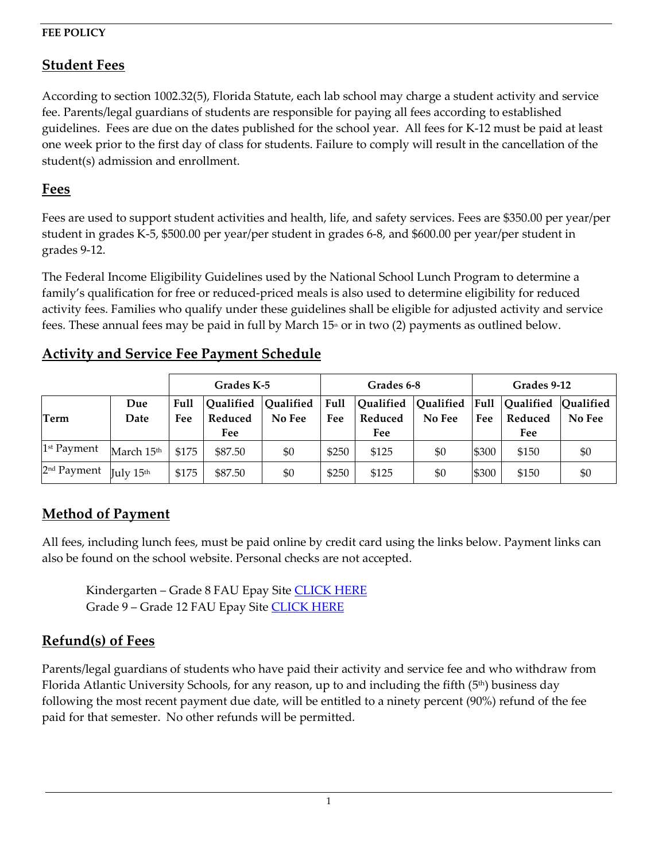#### **FEE POLICY**

### **Student Fees**

According to section 1002.32(5), Florida Statute, each lab school may charge a student activity and service fee. Parents/legal guardians of students are responsible for paying all fees according to established guidelines. Fees are due on the dates published for the school year. All fees for K-12 must be paid at least one week prior to the first day of class for students. Failure to comply will result in the cancellation of the student(s) admission and enrollment.

### **Fees**

**Term**

Fees are used to support student activities and health, life, and safety services. Fees are \$350.00 per year/per student in grades K-5, \$500.00 per year/per student in grades 6-8, and \$600.00 per year/per student in grades 9-12.

The Federal Income Eligibility Guidelines used by the National School Lunch Program to determine a family's qualification for free or reduced-priced meals is also used to determine eligibility for reduced activity fees. Families who qualify under these guidelines shall be eligible for adjusted activity and service fees. These annual fees may be paid in full by March  $15<sup>th</sup>$  or in two (2) payments as outlined below.

**Fee**

 $1^{st}$  Payment  $\left\lfloor \text{March 15}^{th} \mid 175 \mid 1887.50 \mid 180 \mid 18250 \mid 18125 \mid 180 \mid 18300 \mid 18150 \mid 1800 \mid 1800 \mid 1800 \mid 1800 \mid 1800 \mid 1800 \mid 1800 \mid 1800 \mid 1800 \mid 1800 \mid 1800 \mid 1800 \mid 1800 \mid 1800 \mid 1800 \mid 1800 \mid 1800 \mid 1800 \mid$  $^{2^{nd}}$  Payment  $_{\rm{July \ 15^{th}}}$   $_{\rm{}}$  \$175  $_{\rm{}}$  \$87.50  $_{\rm{}}$  \$0 \$250 \$125  $_{\rm{}}$  \$0 \$300 \$150 \$150 \$0

**Reduced Fee**

**No Fee**

**Fee**

**Grades K-5 Grades 6-8 Grades 9-12**

**Qualified No Fee**

**Qualified Reduced Fee**

|     | Grades K-5 |  |                                                                | Grades 6-8 |  |  |  |
|-----|------------|--|----------------------------------------------------------------|------------|--|--|--|
| Due |            |  | Full  Qualified  Qualified   Full  Qualified  Qualified   Full |            |  |  |  |

**No Fee**

**Reduced Fee**

## **Activity and Service Fee Payment Schedule**

**Fee**

# **Method of Payment**

**Date**

All fees, including lunch fees, must be paid online by credit card using the links below. Payment links can also be found on the school website. Personal checks are not accepted.

Kindergarten - Grade 8 FAU Epay Site [CLICK HERE](https://epay.fau.edu/C20081_ustores/web/store_main.jsp?STOREID=8) Grade 9 - Grade 12 FAU Epay Site [CLICK HERE](https://epay.fau.edu/C20081_ustores/web/store_main.jsp?STOREID=9)

## **Refund(s) of Fees**

Parents/legal guardians of students who have paid their activity and service fee and who withdraw from Florida Atlantic University Schools, for any reason, up to and including the fifth  $(5<sup>th</sup>)$  business day following the most recent payment due date, will be entitled to a ninety percent (90%) refund of the fee paid for that semester. No other refunds will be permitted.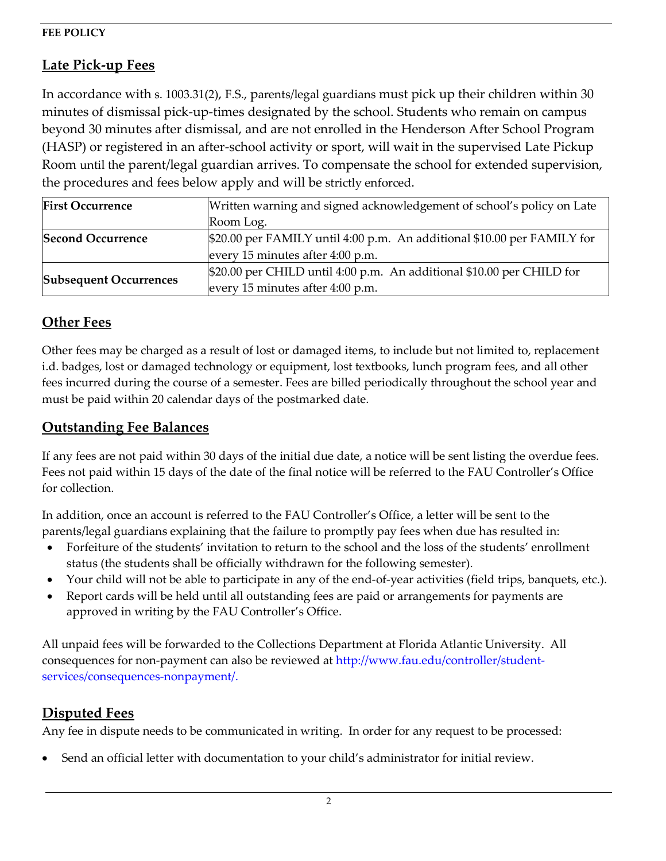### **FEE POLICY**

# **Late Pick-up Fees**

In accordance with s. 1003.31(2), F.S., parents/legal guardians must pick up their children within 30 minutes of dismissal pick-up-times designated by the school. Students who remain on campus beyond 30 minutes after dismissal, and are not enrolled in the Henderson After School Program (HASP) or registered in an after-school activity or sport, will wait in the supervised Late Pickup Room until the parent/legal guardian arrives. To compensate the school for extended supervision, the procedures and fees below apply and will be strictly enforced.

| <b>First Occurrence</b>       | Written warning and signed acknowledgement of school's policy on Late   |  |  |  |  |
|-------------------------------|-------------------------------------------------------------------------|--|--|--|--|
|                               | Room Log.                                                               |  |  |  |  |
| <b>Second Occurrence</b>      | \$20.00 per FAMILY until 4:00 p.m. An additional \$10.00 per FAMILY for |  |  |  |  |
|                               | every 15 minutes after 4:00 p.m.                                        |  |  |  |  |
|                               | \$20.00 per CHILD until 4:00 p.m. An additional \$10.00 per CHILD for   |  |  |  |  |
| <b>Subsequent Occurrences</b> | every 15 minutes after 4:00 p.m.                                        |  |  |  |  |

## **Other Fees**

Other fees may be charged as a result of lost or damaged items, to include but not limited to, replacement i.d. badges, lost or damaged technology or equipment, lost textbooks, lunch program fees, and all other fees incurred during the course of a semester. Fees are billed periodically throughout the school year and must be paid within 20 calendar days of the postmarked date.

### **Outstanding Fee Balances**

If any fees are not paid within 30 days of the initial due date, a notice will be sent listing the overdue fees. Fees not paid within 15 days of the date of the final notice will be referred to the FAU Controller's Office for collection.

In addition, once an account is referred to the FAU Controller's Office, a letter will be sent to the parents/legal guardians explaining that the failure to promptly pay fees when due has resulted in:

- Forfeiture of the students' invitation to return to the school and the loss of the students' enrollment status (the students shall be officially withdrawn for the following semester).
- Your child will not be able to participate in any of the end-of-year activities (field trips, banquets, etc.).
- Report cards will be held until all outstanding fees are paid or arrangements for payments are approved in writing by the FAU Controller's Office.

All unpaid fees will be forwarded to the Collections Department at Florida Atlantic University. All consequences for non-payment can also be reviewed at [http://www.fau.edu/controller/student](http://www.fau.edu/controller/student-services/consequences-nonpayment/)[services/consequences-nonpayment/.](http://www.fau.edu/controller/student-services/consequences-nonpayment/)

## **Disputed Fees**

Any fee in dispute needs to be communicated in writing. In order for any request to be processed:

• Send an official letter with documentation to your child's administrator for initial review.